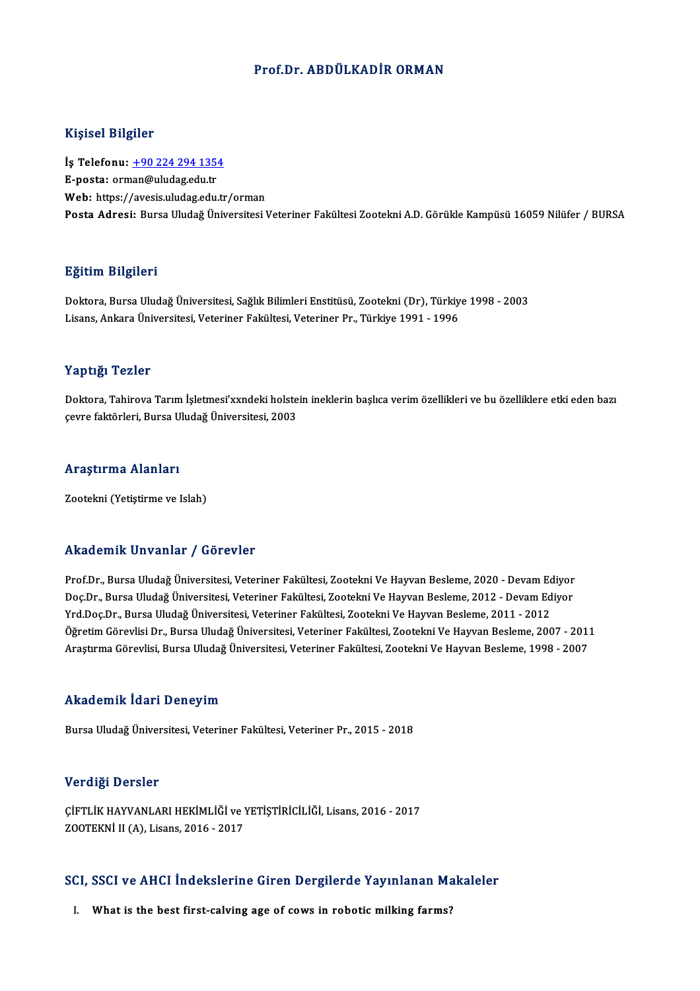### Prof.Dr. ABDÜLKADİR ORMAN

### Kişisel Bilgiler

Kişisel Bilgiler<br>İş Telefonu: <u>+90 224 294 1354</u><br>E nosta: erman@uludazedu.tr 11191001 D1191101<br>İş Telefonu: <u>+90 224 294 135</u><br>E-posta: or[man@uludag.edu.tr](tel:+90 224 294 1354) E-posta: orman@uludag.edu.tr<br>Web: https://avesis.uludag.edu.tr/orman Posta Adresi: Bursa Uludağ Üniversitesi Veteriner Fakültesi Zootekni A.D. Görükle Kampüsü 16059 Nilüfer / BURSA

#### Eğitim Bilgileri

E<mark>ğitim Bilgileri</mark><br>Doktora, Bursa Uludağ Üniversitesi, Sağlık Bilimleri Enstitüsü, Zootekni (Dr), Türkiye 1998 - 2003<br>Lisans, Ankara Üniversitesi, Veteriner Fekültesi, Veteriner Pr., Türkiye 1991, 1996 Lisaans, Largaron<br>Doktora, Bursa Uludağ Üniversitesi, Sağlık Bilimleri Enstitüsü, Zootekni (Dr), Türkiy<br>Lisans, Ankara Üniversitesi, Veteriner Fakültesi, Veteriner Pr., Türkiye 1991 - 1996 Lisans, Ankara Üniversitesi, Veteriner Fakültesi, Veteriner Pr., Türkiye 1991 - 1996<br>Yaptığı Tezler

Doktora, Tahirova Tarım İşletmesi'xxndeki holstein ineklerin başlıca verim özellikleri ve bu özelliklere etki eden bazı çevre faktörleri, Bursa Uludağ Üniversitesi, 2003

# çevre raktorleri, bursa o<br>Araştırma Alanları

<mark>Araştırma Alanları</mark><br>Zootekni (Yetiştirme ve Islah)

## Zootekni (Yetiştirme ve Islah)<br>Akademik Unvanlar / Görevler

Prof.Dr., Bursa Uludağ Üniversitesi, Veteriner Fakültesi, Zootekni Ve Hayvan Besleme, 2020 - Devam Ediyor rrittat omrit "On varitat" / "d'or ovtor"<br>Prof.Dr., Bursa Uludağ Üniversitesi, Veteriner Fakültesi, Zootekni Ve Hayvan Besleme, 2020 - Devam Ediyor<br>Doç.Dr., Bursa Uludağ Üniversitesi, Veteriner Fakültesi, Zootekni Ve Hayva Prof.Dr., Bursa Uludağ Üniversitesi, Veteriner Fakültesi, Zootekni Ve Hayvan Besleme, 2020 - Devam Ec<br>Doç.Dr., Bursa Uludağ Üniversitesi, Veteriner Fakültesi, Zootekni Ve Hayvan Besleme, 2012 - Devam Ed<br>Yrd.Doç.Dr., Bursa Doç.Dr., Bursa Uludağ Üniversitesi, Veteriner Fakültesi, Zootekni Ve Hayvan Besleme, 2012 - Devam Ediyor<br>Yrd.Doç.Dr., Bursa Uludağ Üniversitesi, Veteriner Fakültesi, Zootekni Ve Hayvan Besleme, 2011 - 2012<br>Öğretim Görevlis Yrd.Doç.Dr., Bursa Uludağ Üniversitesi, Veteriner Fakültesi, Zootekni Ve Hayvan Besleme, 2011 - 2012<br>Öğretim Görevlisi Dr., Bursa Uludağ Üniversitesi, Veteriner Fakültesi, Zootekni Ve Hayvan Besleme, 2007 - 2011<br>Araştırma Araştırma Görevlisi, Bursa Uludağ Üniversitesi, Veteriner Fakültesi, Zootekni Ve Hayvan Besleme, 1998 - 2007<br>Akademik İdari Deneyim

BursaUludağÜniversitesi,Veteriner Fakültesi,Veteriner Pr.,2015 -2018

#### Verdiği Dersler

Verdiği Dersler<br>ÇİFTLİK HAYVANLARI HEKİMLİĞİ ve YETİŞTİRİCİLİĞİ, Lisans, 2016 - 2017<br>ZOQTEKNİ IL(A), Lisans, 2016 - 2017 VOLULA DOLUCI<br>ÇİFTLİK HAYVANLARI HEKİMLİĞİ ve Y<br>ZOOTEKNİ II (A), Lisans, 2016 - 2017

## 2001EKNI II (A), Lisans, 2016 - 2017<br>SCI, SSCI ve AHCI İndekslerine Giren Dergilerde Yayınlanan Makaleler CI, SSCI ve AHCI İndekslerine Giren Dergilerde Yayınlanan Ma<br>I. What is the best first-calving age of cows in robotic milking farms?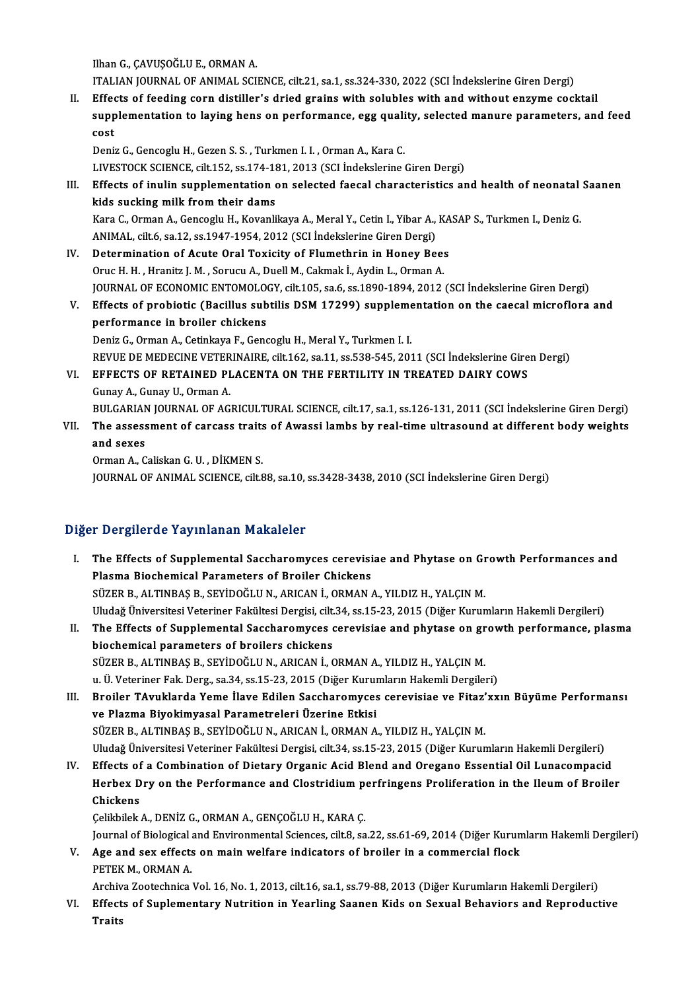IlhanG.,ÇAVUŞOĞLUE.,ORMANA.

ITALIAN JOURNAL OF ANIMAL SCIENCE, cilt.21, sa.1, ss.324-330, 2022 (SCI İndekslerine Giren Dergi)

II. Effects of feeding corn distiller's dried grains with solubles with and without enzyme cocktail ITALIAN JOURNAL OF ANIMAL SCIENCE, cilt.21, sa.1, ss.324-330, 2022 (SCI İndekslerine Giren Dergi)<br>Effects of feeding corn distiller's dried grains with solubles with and without enzyme cocktail<br>supplementation to laying he Effed<br>supp<br>cost supplementation to laying hens on performance, egg quali<br>cost<br>Deniz G., Gencoglu H., Gezen S. S. , Turkmen I. I. , Orman A., Kara C.<br>LIVESTOCK SCIENCE silt 152 ss 174 191 2012 (SCL Indekslering)

cost<br>Deniz G., Gencoglu H., Gezen S. S. , Turkmen I. I. , Orman A., Kara C.<br>LIVESTOCK SCIENCE, cilt.152, ss.174-181, 2013 (SCI İndekslerine Giren Dergi)<br>Effects of inulin sunnlamentation en selected faecal characteristics

Deniz G., Gencoglu H., Gezen S. S. , Turkmen I. I. , Orman A., Kara C.<br>LIVESTOCK SCIENCE, cilt.152, ss.174-181, 2013 (SCI İndekslerine Giren Dergi)<br>III. Effects of inulin supplementation on selected faecal characteristics LIVESTOCK SCIENCE, cilt.152, ss.174-18<br>Effects of inulin supplementation<br>kids sucking milk from their dams<br>Kara C. Orman A. Concoglu H. Kovanli Effects of inulin supplementation on selected faecal characteristics and health of neonatal<br>kids sucking milk from their dams<br>Kara C., Orman A., Gencoglu H., Kovanlikaya A., Meral Y., Cetin I., Yibar A., KASAP S., Turkmen

kids sucking milk from their dams<br>Kara C., Orman A., Gencoglu H., Kovanlikaya A., Meral Y., Cetin I., Yibar A.,<br>ANIMAL, cilt.6, sa.12, ss.1947-1954, 2012 (SCI İndekslerine Giren Dergi)<br>Determination of Aqute Oral Tovisity Kara C., Orman A., Gencoglu H., Kovanlikaya A., Meral Y., Cetin I., Yibar A., KA<br>ANIMAL, cilt.6, sa.12, ss.1947-1954, 2012 (SCI İndekslerine Giren Dergi)<br>IV. Determination of Acute Oral Toxicity of Flumethrin in Honey Bees

- ANIMAL, cilt.6, sa.12, ss.1947-1954, 2012 (SCI Indekslerine Giren Dergi)<br>IV. Determination of Acute Oral Toxicity of Flumethrin in Honey Bees<br>Oruc H. H., Hranitz J. M., Sorucu A., Duell M., Cakmak İ., Aydin L., Orman A. Determination of Acute Oral Toxicity of Flumethrin in Honey Bees<br>Oruc H. H. , Hranitz J. M. , Sorucu A., Duell M., Cakmak İ., Aydin L., Orman A.<br>JOURNAL OF ECONOMIC ENTOMOLOGY, cilt.105, sa.6, ss.1890-1894, 2012 (SCI İndek Oruc H. H. , Hranitz J. M. , Sorucu A., Duell M., Cakmak İ., Aydin L., Orman A.<br>JOURNAL OF ECONOMIC ENTOMOLOGY, cilt.105, sa.6, ss.1890-1894, 2012 (SCI İndekslerine Giren Dergi)<br>V. Effects of probiotic (Bacillus subtilis D
- **JOURNAL OF ECONOMIC ENTOMOLO<br>Effects of probiotic (Bacillus sub<br>performance in broiler chickens**<br>Popiz C. Orman A. Cotinliaus E. Cons Effects of probiotic (Bacillus subtilis DSM 17299) suppleme<br>performance in broiler chickens<br>Deniz G., Orman A., Cetinkaya F., Gencoglu H., Meral Y., Turkmen I. I.<br>PEVUE DE MEDECINE VETERINAIDE silt 162 se 11 se 528 545 201 performance in broiler chickens<br>Deniz G., Orman A., Cetinkaya F., Gencoglu H., Meral Y., Turkmen I. I.<br>REVUE DE MEDECINE VETERINAIRE, cilt.162, sa.11, ss.538-545, 2011 (SCI İndekslerine Giren Dergi)<br>FEFECTS OF RETAINED BLA

Deniz G., Orman A., Cetinkaya F., Gencoglu H., Meral Y., Turkmen I. I.<br>REVUE DE MEDECINE VETERINAIRE, cilt.162, sa.11, ss.538-545, 2011 (SCI İndekslerine Gire<br>VI. EFFECTS OF RETAINED PLACENTA ON THE FERTILITY IN TREATED DA REVUE DE MEDECINE VETER<br>EFFECTS OF RETAINED PI<br>Gunay A., Gunay U., Orman A.<br>PIU CARIAN IOURNAL OF AC EFFECTS OF RETAINED PLACENTA ON THE FERTILITY IN TREATED DAIRY COWS<br>Gunay A., Gunay U., Orman A.<br>BULGARIAN JOURNAL OF AGRICULTURAL SCIENCE, cilt.17, sa.1, ss.126-131, 2011 (SCI İndekslerine Giren Dergi)<br>The assessment of s

Gunay A., Gunay U., Orman A.<br>BULGARIAN JOURNAL OF AGRICULTURAL SCIENCE, cilt.17, sa.1, ss.126-131, 2011 (SCI İndekslerine Giren Dergi)<br>VII. The assessment of carcass traits of Awassi lambs by real-time ultrasound at di BULGARIAN<br>The assess<br>and sexes<br>Orman A.C The assessment of carcass traits<br>and sexes<br>Orman A., Caliskan G. U. , DİKMEN S.<br>JOUPMAL OF ANIMAL SCIENCE silt S

and sexes<br>Orman A., Caliskan G. U. , DİKMEN S.<br>JOURNAL OF ANIMAL SCIENCE, cilt.88, sa.10, ss.3428-3438, 2010 (SCI İndekslerine Giren Dergi)

## Diğer Dergilerde Yayınlanan Makaleler

- Iger Dergilerde Yayınlanan Makaleler<br>I. The Effects of Supplemental Saccharomyces cerevisiae and Phytase on Growth Performances and<br>Risama Biashamisal Parametars of Prailar Chiskans Plasma Biochemical Parameters of Broiler Chickens<br>Plasma Biochemical Parameters of Broiler Chickens<br>SÜZER R. ALTINDAS R. SEVIDOČLUM, ARIGAN L. ORMAN Plasma Biochemical Parameters of Broiler Chickens<br>SÜZER B., ALTINBAŞ B., SEYİDOĞLU N., ARICAN İ., ORMAN A., YILDIZ H., YALÇIN M. Plasma Biochemical Parameters of Broiler Chickens<br>SÜZER B., ALTINBAŞ B., SEYİDOĞLU N., ARICAN İ., ORMAN A., YILDIZ H., YALÇIN M.<br>Uludağ Üniversitesi Veteriner Fakültesi Dergisi, cilt.34, ss.15-23, 2015 (Diğer Kurumların Ha
- II. The Effects of Supplemental Saccharomyces cerevisiae and phytase on growth performance, plasma<br>biochemical parameters of broilers chickens Uludağ Üniversitesi Veteriner Fakültesi Dergisi, cilt.<br>The Effects of Supplemental Saccharomyces of<br>biochemical parameters of broilers chickens<br>SÜZER B. ALTINPAS B. SEVIDOČLU N. ARICAN İ. 6 The Effects of Supplemental Saccharomyces cerevisiae and phytase on gr<br>biochemical parameters of broilers chickens<br>SÜZER B., ALTINBAŞ B., SEYİDOĞLU N., ARICAN İ., ORMAN A., YILDIZ H., YALÇIN M.<br>u. Ü. Veteriner Fak. Ders. s biochemical parameters of broilers chickens<br>SÜZER B., ALTINBAŞ B., SEYİDOĞLU N., ARICAN İ., ORMAN A., YILDIZ H., YALÇIN M.<br>u. Ü. Veteriner Fak. Derg., sa.34, ss.15-23, 2015 (Diğer Kurumların Hakemli Dergileri)<br>Proiler TAyu u. Ü. Veteriner Fak. Derg., sa.34, ss.15-23, 2015 (Diğer Kurumların Hakemli Dergileri)<br>III. Broiler TAvuklarda Yeme İlave Edilen Saccharomyces cerevisiae ve Fitaz'xxın Büyüme Performansı
- ve Plazma Biyokimyasal Parametreleri Üzerine Etkisi SÜZER B., ALTINBAŞ B., SEYİDOĞLU N., ARICAN İ., ORMAN A., YILDIZ H., YALÇIN M. Uludağ Üniversitesi Veteriner Fakültesi Dergisi, cilt.34, ss.15-23, 2015 (Diğer Kurumların Hakemli Dergileri) SÜZER B., ALTINBAŞ B., SEYİDOĞLU N., ARICAN İ., ORMAN A., YILDIZ H., YALÇIN M.<br>Uludağ Üniversitesi Veteriner Fakültesi Dergisi, cilt.34, ss.15-23, 2015 (Diğer Kurumların Hakemli Dergileri)<br>IV. Effects of a Combination of D
- Uludağ Üniversitesi Veteriner Fakültesi Dergisi, cilt.34, ss.15-23, 2015 (Diğer Kurumların Hakemli Dergileri)<br>Effects of a Combination of Dietary Organic Acid Blend and Oregano Essential Oil Lunacompacid<br>Herbex Dry on the Effects of<br>Herbex D<br>Chickens<br>Colibilek Herbex Dry on the Performance and Clostridium perfringens Proliferation in the Ileum of Broiler<br>Chickens<br>Çelikbilek A., DENİZ G., ORMAN A., GENÇOĞLU H., KARA Ç.

Journal of Biological and Environmental Sciences, cilt.8, sa.22, ss.61-69, 2014 (Diğer Kurumların Hakemli Dergileri) Celikbilek A., DENİZ G., ORMAN A., GENÇOĞLU H., KARA Ç.<br>Journal of Biological and Environmental Sciences, cilt.8, sa.22, ss.61-69, 2014 (Diğer Kurun<br>V. Age and sex effects on main welfare indicators of broiler in a commerc

Journal of Biological<br>Age and sex effects<br>PETEK M., ORMAN A.<br>Archive Zostechnice Age and sex effects on main welfare indicators of broiler in a commercial flock<br>PETEK M., ORMAN A.<br>Archiva Zootechnica Vol. 16, No. 1, 2013, cilt.16, sa.1, ss.79-88, 2013 (Diğer Kurumların Hakemli Dergileri)<br>Effecte of Sun

PETEK M., ORMAN A.<br>Archiva Zootechnica Vol. 16, No. 1, 2013, cilt.16, sa.1, ss.79-88, 2013 (Diğer Kurumların Hakemli Dergileri)<br>VI. Effects of Suplementary Nutrition in Yearling Saanen Kids on Sexual Behaviors and Reproduc Archiv<br><mark>Effect</mark><br>Traits